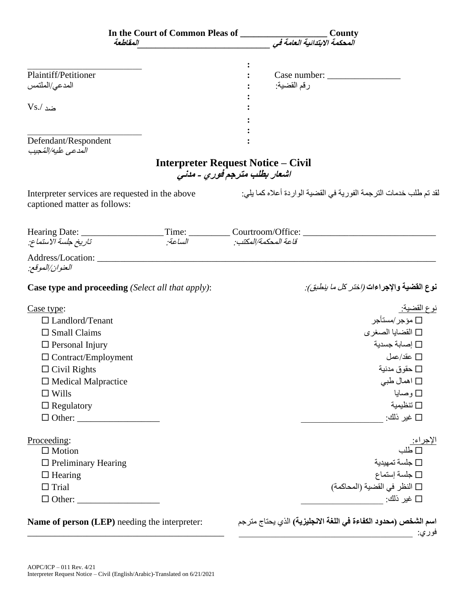| In the Court of Common Pleas of ______<br>المقلطعة                              |                                                                           |                      | County<br>.<br>المحكمة الابتدائية العامة في |                                                                                                                                                                                                                                                                                                                                                                                                                                  |                           |  |
|---------------------------------------------------------------------------------|---------------------------------------------------------------------------|----------------------|---------------------------------------------|----------------------------------------------------------------------------------------------------------------------------------------------------------------------------------------------------------------------------------------------------------------------------------------------------------------------------------------------------------------------------------------------------------------------------------|---------------------------|--|
|                                                                                 |                                                                           |                      |                                             |                                                                                                                                                                                                                                                                                                                                                                                                                                  |                           |  |
| Plaintiff/Petitioner                                                            |                                                                           |                      |                                             | $\text{Case number:}\n\begin{array}{ccc}\n\text{[} & \text{[} & \text{[} & \text{[} & \text{[} & \text{[} & \text{[} & \text{[} & \text{[} & \text{[} & \text{[} & \text{[} & \text{[} & \text{[} & \text{[} & \text{[} & \text{[} & \text{[} & \text{[} & \text{[} & \text{[} & \text{[} & \text{[} & \text{[} & \text{[} & \text{[} & \text{[} & \text{[} & \text{[} & \text{[} & \text{[} & \text{[} & \text{[} & \text{[} &$ |                           |  |
| المدعى/الملتمس                                                                  |                                                                           |                      | رقم القضية:                                 |                                                                                                                                                                                                                                                                                                                                                                                                                                  |                           |  |
|                                                                                 |                                                                           |                      |                                             |                                                                                                                                                                                                                                                                                                                                                                                                                                  |                           |  |
| $Vs/$ ضد                                                                        |                                                                           |                      |                                             |                                                                                                                                                                                                                                                                                                                                                                                                                                  |                           |  |
|                                                                                 |                                                                           |                      |                                             |                                                                                                                                                                                                                                                                                                                                                                                                                                  |                           |  |
| Defendant/Respondent<br>المدعى عليه/المُحيب                                     |                                                                           |                      |                                             |                                                                                                                                                                                                                                                                                                                                                                                                                                  |                           |  |
|                                                                                 | <b>Interpreter Request Notice – Civil</b><br>اشعار بطلب مترجم فوري - مدنى |                      |                                             |                                                                                                                                                                                                                                                                                                                                                                                                                                  |                           |  |
| Interpreter services are requested in the above<br>captioned matter as follows: |                                                                           |                      |                                             | لقد تم طلب خدمات الترجمة الفورية في القضية الواردة أعلاه كما يلي:                                                                                                                                                                                                                                                                                                                                                                |                           |  |
|                                                                                 |                                                                           |                      |                                             |                                                                                                                                                                                                                                                                                                                                                                                                                                  |                           |  |
| تاريخ جلسة الاستماع.                                                            | الساعة:                                                                   | قاعة المحكمة/المكتب: |                                             |                                                                                                                                                                                                                                                                                                                                                                                                                                  |                           |  |
| Address/Location:<br>العنوان/الموقع:                                            |                                                                           |                      |                                             |                                                                                                                                                                                                                                                                                                                                                                                                                                  |                           |  |
| <b>Case type and proceeding</b> (Select all that apply):                        |                                                                           |                      |                                             | نوع ال <b>قضية والإجراءات <i>(اختر كل ما ينطبق):</i></b>                                                                                                                                                                                                                                                                                                                                                                         |                           |  |
| Case type:                                                                      |                                                                           |                      |                                             |                                                                                                                                                                                                                                                                                                                                                                                                                                  | <u>نو ع القضية:</u>       |  |
| $\Box$ Landlord/Tenant                                                          |                                                                           |                      |                                             | □ مؤجر/مستأجر                                                                                                                                                                                                                                                                                                                                                                                                                    |                           |  |
| $\square$ Small Claims                                                          |                                                                           |                      |                                             | □ القضايا الصغري                                                                                                                                                                                                                                                                                                                                                                                                                 |                           |  |
| $\Box$ Personal Injury                                                          |                                                                           |                      |                                             | اصابة جسدية $\square$                                                                                                                                                                                                                                                                                                                                                                                                            |                           |  |
| $\Box$ Contract/Employment                                                      |                                                                           |                      |                                             | $\Box$ عقد/عمل                                                                                                                                                                                                                                                                                                                                                                                                                   |                           |  |
| $\Box$ Civil Rights                                                             |                                                                           |                      |                                             | □ حقوق مدنية                                                                                                                                                                                                                                                                                                                                                                                                                     |                           |  |
| $\square$ Medical Malpractice                                                   |                                                                           |                      |                                             | □ اهمال طبي                                                                                                                                                                                                                                                                                                                                                                                                                      |                           |  |
| $\Box$ Wills                                                                    |                                                                           |                      |                                             | □ وصايا                                                                                                                                                                                                                                                                                                                                                                                                                          |                           |  |
| $\Box$ Regulatory                                                               |                                                                           |                      |                                             | تنظيمية $\Box$                                                                                                                                                                                                                                                                                                                                                                                                                   |                           |  |
|                                                                                 |                                                                           |                      |                                             | □ غير ذلك:                                                                                                                                                                                                                                                                                                                                                                                                                       |                           |  |
| Proceeding:                                                                     |                                                                           |                      |                                             |                                                                                                                                                                                                                                                                                                                                                                                                                                  |                           |  |
| $\Box$ Motion                                                                   |                                                                           |                      |                                             |                                                                                                                                                                                                                                                                                                                                                                                                                                  | الإجراء <u>:</u><br>□ طلب |  |
| $\Box$ Preliminary Hearing                                                      |                                                                           |                      |                                             | $\square$ جلسة تمهيدية                                                                                                                                                                                                                                                                                                                                                                                                           |                           |  |
| $\Box$ Hearing                                                                  |                                                                           |                      |                                             | $\square$ جلسة إستماع                                                                                                                                                                                                                                                                                                                                                                                                            |                           |  |
| $\Box$ Trial                                                                    |                                                                           |                      |                                             | □ النظر في القضية (المحاكمة)                                                                                                                                                                                                                                                                                                                                                                                                     |                           |  |
| $\Box$ Other:                                                                   |                                                                           |                      |                                             |                                                                                                                                                                                                                                                                                                                                                                                                                                  |                           |  |
| Name of person (LEP) needing the interpreter:                                   |                                                                           |                      |                                             | ا <b>سم الشخص (محدود الكفاءة في اللغة الانجليزية)</b> الذي يحتاج مترجم                                                                                                                                                                                                                                                                                                                                                           | فوري:                     |  |